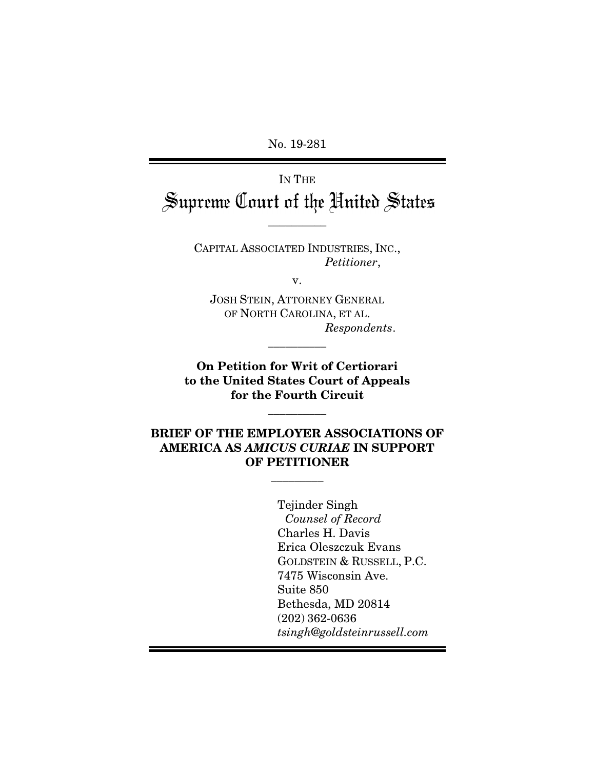No. 19-281

IN THE Supreme Court of the United States

 $\overline{\phantom{a}}$ 

CAPITAL ASSOCIATED INDUSTRIES, INC., *Petitioner*,

v.

JOSH STEIN, ATTORNEY GENERAL OF NORTH CAROLINA, ET AL. *Respondents*.

\_\_\_\_\_\_\_\_\_\_

On Petition for Writ of Certiorari to the United States Court of Appeals for the Fourth Circuit

\_\_\_\_\_\_\_\_\_\_

## BRIEF OF THE EMPLOYER ASSOCIATIONS OF AMERICA AS *AMICUS CURIAE* IN SUPPORT OF PETITIONER

\_\_\_\_\_\_\_\_\_

 Tejinder Singh *Counsel of Record*  Charles H. Davis Erica Oleszczuk Evans GOLDSTEIN & RUSSELL, P.C. 7475 Wisconsin Ave. Suite 850 Bethesda, MD 20814 (202) 362-0636 *tsingh@goldsteinrussell.com*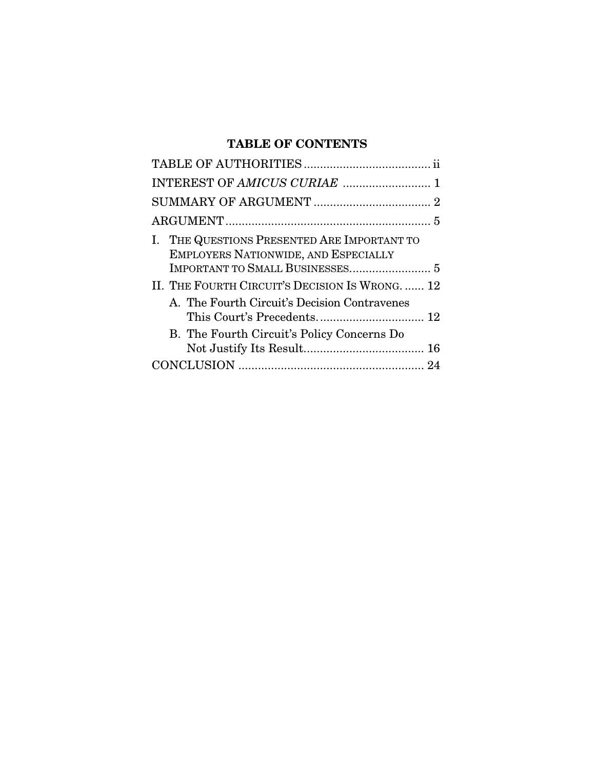# TABLE OF CONTENTS

| I. THE QUESTIONS PRESENTED ARE IMPORTANT TO<br>EMPLOYERS NATIONWIDE, AND ESPECIALLY<br>II. THE FOURTH CIRCUIT'S DECISION IS WRONG.  12<br>A. The Fourth Circuit's Decision Contravenes<br>B. The Fourth Circuit's Policy Concerns Do |  |  |
|--------------------------------------------------------------------------------------------------------------------------------------------------------------------------------------------------------------------------------------|--|--|
|                                                                                                                                                                                                                                      |  |  |
|                                                                                                                                                                                                                                      |  |  |
|                                                                                                                                                                                                                                      |  |  |
|                                                                                                                                                                                                                                      |  |  |
|                                                                                                                                                                                                                                      |  |  |
|                                                                                                                                                                                                                                      |  |  |
|                                                                                                                                                                                                                                      |  |  |
|                                                                                                                                                                                                                                      |  |  |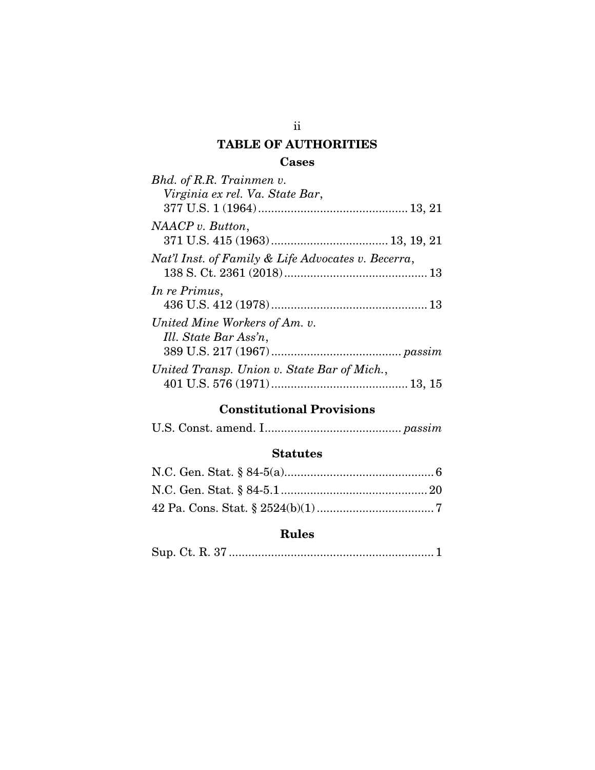## TABLE OF AUTHORITIES

## Cases

| Bhd. of R.R. Trainmen v.                           |
|----------------------------------------------------|
| Virginia ex rel. Va. State Bar,                    |
|                                                    |
| $NAACP$ v. Button,                                 |
|                                                    |
| Nat'l Inst. of Family & Life Advocates v. Becerra, |
| In re Primus,                                      |
|                                                    |
| United Mine Workers of Am. v.                      |
| Ill. State Bar Ass'n,                              |
|                                                    |
| United Transp. Union v. State Bar of Mich.,        |
|                                                    |

# Constitutional Provisions

### Statutes

## Rules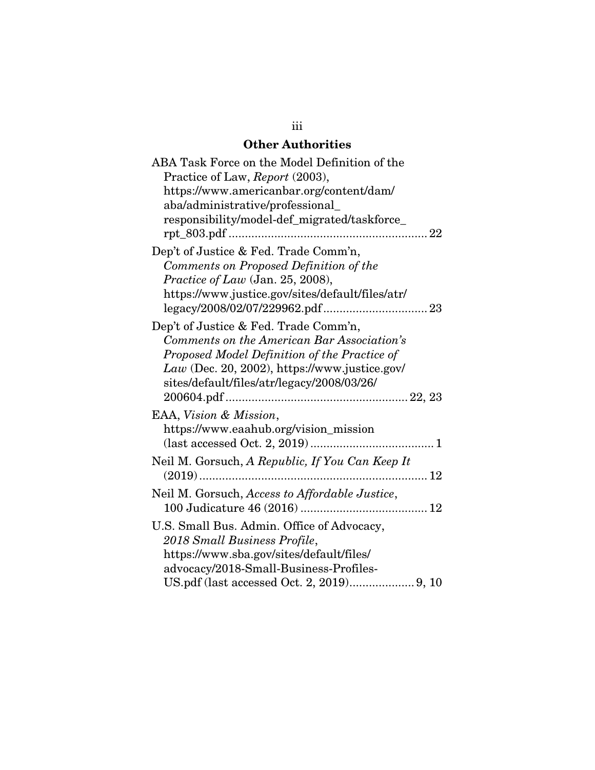## Other Authorities

| ABA Task Force on the Model Definition of the                                       |
|-------------------------------------------------------------------------------------|
| Practice of Law, Report (2003),                                                     |
| https://www.americanbar.org/content/dam/                                            |
| aba/administrative/professional_                                                    |
| responsibility/model-def_migrated/taskforce_                                        |
|                                                                                     |
| Dep't of Justice & Fed. Trade Comm'n,                                               |
| Comments on Proposed Definition of the                                              |
| <i>Practice of Law</i> (Jan. 25, 2008),                                             |
| https://www.justice.gov/sites/default/files/atr/                                    |
|                                                                                     |
|                                                                                     |
| Dep't of Justice & Fed. Trade Comm'n,<br>Comments on the American Bar Association's |
|                                                                                     |
| Proposed Model Definition of the Practice of                                        |
| $Law$ (Dec. 20, 2002), https://www.justice.gov/                                     |
| sites/default/files/atr/legacy/2008/03/26/                                          |
|                                                                                     |
| EAA, Vision & Mission,                                                              |
| https://www.eaahub.org/vision_mission                                               |
|                                                                                     |
| Neil M. Gorsuch, A Republic, If You Can Keep It                                     |
|                                                                                     |
| Neil M. Gorsuch, Access to Affordable Justice,                                      |
|                                                                                     |
|                                                                                     |
| U.S. Small Bus. Admin. Office of Advocacy,                                          |
| 2018 Small Business Profile,                                                        |
| https://www.sba.gov/sites/default/files/                                            |
| advocacy/2018-Small-Business-Profiles-                                              |
|                                                                                     |

## iii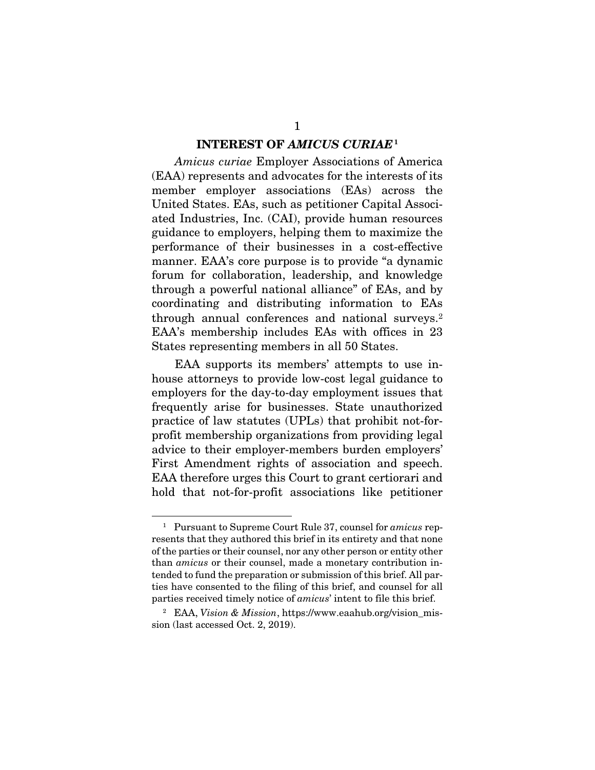#### INTEREST OF *AMICUS CURIAE*<sup>1</sup>

*Amicus curiae* Employer Associations of America (EAA) represents and advocates for the interests of its member employer associations (EAs) across the United States. EAs, such as petitioner Capital Associated Industries, Inc. (CAI), provide human resources guidance to employers, helping them to maximize the performance of their businesses in a cost-effective manner. EAA's core purpose is to provide "a dynamic forum for collaboration, leadership, and knowledge through a powerful national alliance" of EAs, and by coordinating and distributing information to EAs through annual conferences and national surveys.<sup>2</sup> EAA's membership includes EAs with offices in 23 States representing members in all 50 States.

EAA supports its members' attempts to use inhouse attorneys to provide low-cost legal guidance to employers for the day-to-day employment issues that frequently arise for businesses. State unauthorized practice of law statutes (UPLs) that prohibit not-forprofit membership organizations from providing legal advice to their employer-members burden employers' First Amendment rights of association and speech. EAA therefore urges this Court to grant certiorari and hold that not-for-profit associations like petitioner

1

<sup>1</sup> Pursuant to Supreme Court Rule 37, counsel for *amicus* represents that they authored this brief in its entirety and that none of the parties or their counsel, nor any other person or entity other than *amicus* or their counsel, made a monetary contribution intended to fund the preparation or submission of this brief. All parties have consented to the filing of this brief, and counsel for all parties received timely notice of *amicus*' intent to file this brief.

<sup>2</sup> EAA, *Vision & Mission*, https://www.eaahub.org/vision\_mission (last accessed Oct. 2, 2019).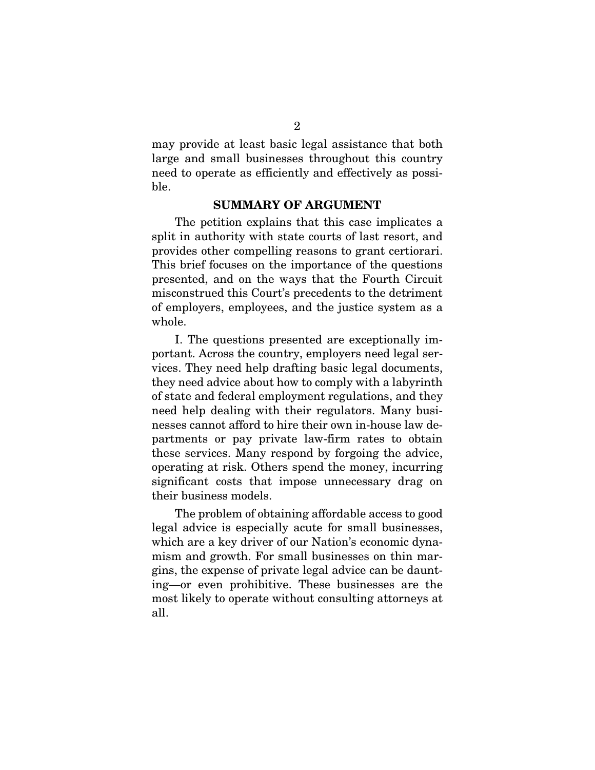may provide at least basic legal assistance that both large and small businesses throughout this country need to operate as efficiently and effectively as possible.

#### SUMMARY OF ARGUMENT

The petition explains that this case implicates a split in authority with state courts of last resort, and provides other compelling reasons to grant certiorari. This brief focuses on the importance of the questions presented, and on the ways that the Fourth Circuit misconstrued this Court's precedents to the detriment of employers, employees, and the justice system as a whole.

I. The questions presented are exceptionally important. Across the country, employers need legal services. They need help drafting basic legal documents, they need advice about how to comply with a labyrinth of state and federal employment regulations, and they need help dealing with their regulators. Many businesses cannot afford to hire their own in-house law departments or pay private law-firm rates to obtain these services. Many respond by forgoing the advice, operating at risk. Others spend the money, incurring significant costs that impose unnecessary drag on their business models.

The problem of obtaining affordable access to good legal advice is especially acute for small businesses, which are a key driver of our Nation's economic dynamism and growth. For small businesses on thin margins, the expense of private legal advice can be daunting—or even prohibitive. These businesses are the most likely to operate without consulting attorneys at all.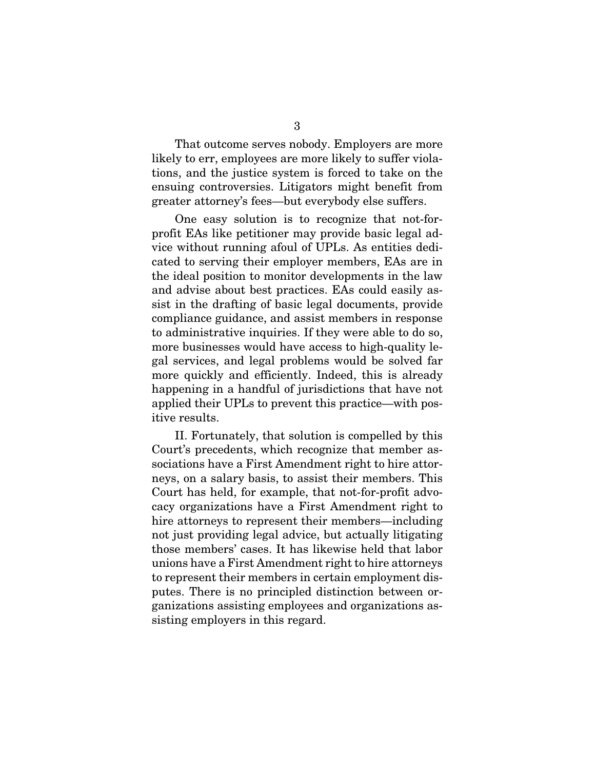That outcome serves nobody. Employers are more likely to err, employees are more likely to suffer violations, and the justice system is forced to take on the ensuing controversies. Litigators might benefit from greater attorney's fees—but everybody else suffers.

One easy solution is to recognize that not-forprofit EAs like petitioner may provide basic legal advice without running afoul of UPLs. As entities dedicated to serving their employer members, EAs are in the ideal position to monitor developments in the law and advise about best practices. EAs could easily assist in the drafting of basic legal documents, provide compliance guidance, and assist members in response to administrative inquiries. If they were able to do so, more businesses would have access to high-quality legal services, and legal problems would be solved far more quickly and efficiently. Indeed, this is already happening in a handful of jurisdictions that have not applied their UPLs to prevent this practice—with positive results.

II. Fortunately, that solution is compelled by this Court's precedents, which recognize that member associations have a First Amendment right to hire attorneys, on a salary basis, to assist their members. This Court has held, for example, that not-for-profit advocacy organizations have a First Amendment right to hire attorneys to represent their members—including not just providing legal advice, but actually litigating those members' cases. It has likewise held that labor unions have a First Amendment right to hire attorneys to represent their members in certain employment disputes. There is no principled distinction between organizations assisting employees and organizations assisting employers in this regard.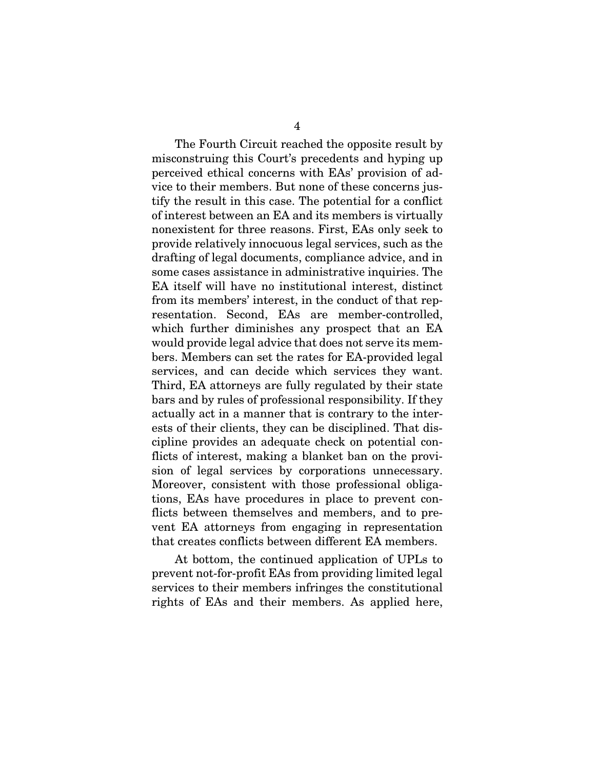The Fourth Circuit reached the opposite result by misconstruing this Court's precedents and hyping up perceived ethical concerns with EAs' provision of advice to their members. But none of these concerns justify the result in this case. The potential for a conflict of interest between an EA and its members is virtually nonexistent for three reasons. First, EAs only seek to provide relatively innocuous legal services, such as the drafting of legal documents, compliance advice, and in some cases assistance in administrative inquiries. The EA itself will have no institutional interest, distinct from its members' interest, in the conduct of that representation. Second, EAs are member-controlled, which further diminishes any prospect that an EA would provide legal advice that does not serve its members. Members can set the rates for EA-provided legal services, and can decide which services they want. Third, EA attorneys are fully regulated by their state bars and by rules of professional responsibility. If they actually act in a manner that is contrary to the interests of their clients, they can be disciplined. That discipline provides an adequate check on potential conflicts of interest, making a blanket ban on the provision of legal services by corporations unnecessary. Moreover, consistent with those professional obligations, EAs have procedures in place to prevent conflicts between themselves and members, and to prevent EA attorneys from engaging in representation that creates conflicts between different EA members.

At bottom, the continued application of UPLs to prevent not-for-profit EAs from providing limited legal services to their members infringes the constitutional rights of EAs and their members. As applied here,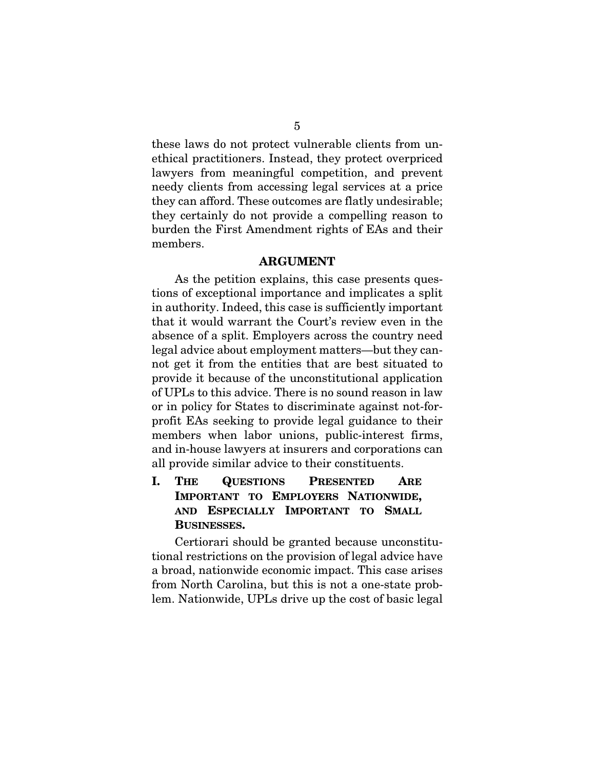these laws do not protect vulnerable clients from unethical practitioners. Instead, they protect overpriced lawyers from meaningful competition, and prevent needy clients from accessing legal services at a price they can afford. These outcomes are flatly undesirable; they certainly do not provide a compelling reason to burden the First Amendment rights of EAs and their members.

#### ARGUMENT

As the petition explains, this case presents questions of exceptional importance and implicates a split in authority. Indeed, this case is sufficiently important that it would warrant the Court's review even in the absence of a split. Employers across the country need legal advice about employment matters—but they cannot get it from the entities that are best situated to provide it because of the unconstitutional application of UPLs to this advice. There is no sound reason in law or in policy for States to discriminate against not-forprofit EAs seeking to provide legal guidance to their members when labor unions, public-interest firms, and in-house lawyers at insurers and corporations can all provide similar advice to their constituents.

I. THE QUESTIONS PRESENTED ARE IMPORTANT TO EMPLOYERS NATIONWIDE, AND ESPECIALLY IMPORTANT TO SMALL BUSINESSES.

Certiorari should be granted because unconstitutional restrictions on the provision of legal advice have a broad, nationwide economic impact. This case arises from North Carolina, but this is not a one-state problem. Nationwide, UPLs drive up the cost of basic legal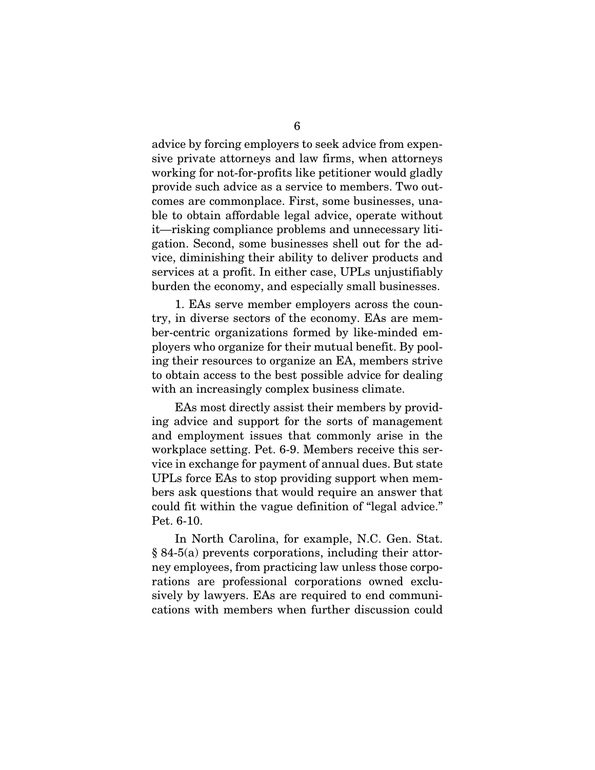advice by forcing employers to seek advice from expensive private attorneys and law firms, when attorneys working for not-for-profits like petitioner would gladly provide such advice as a service to members. Two outcomes are commonplace. First, some businesses, unable to obtain affordable legal advice, operate without it—risking compliance problems and unnecessary litigation. Second, some businesses shell out for the advice, diminishing their ability to deliver products and services at a profit. In either case, UPLs unjustifiably burden the economy, and especially small businesses.

1. EAs serve member employers across the country, in diverse sectors of the economy. EAs are member-centric organizations formed by like-minded employers who organize for their mutual benefit. By pooling their resources to organize an EA, members strive to obtain access to the best possible advice for dealing with an increasingly complex business climate.

EAs most directly assist their members by providing advice and support for the sorts of management and employment issues that commonly arise in the workplace setting. Pet. 6-9. Members receive this service in exchange for payment of annual dues. But state UPLs force EAs to stop providing support when members ask questions that would require an answer that could fit within the vague definition of "legal advice." Pet. 6-10.

In North Carolina, for example, N.C. Gen. Stat. § 84-5(a) prevents corporations, including their attorney employees, from practicing law unless those corporations are professional corporations owned exclusively by lawyers. EAs are required to end communications with members when further discussion could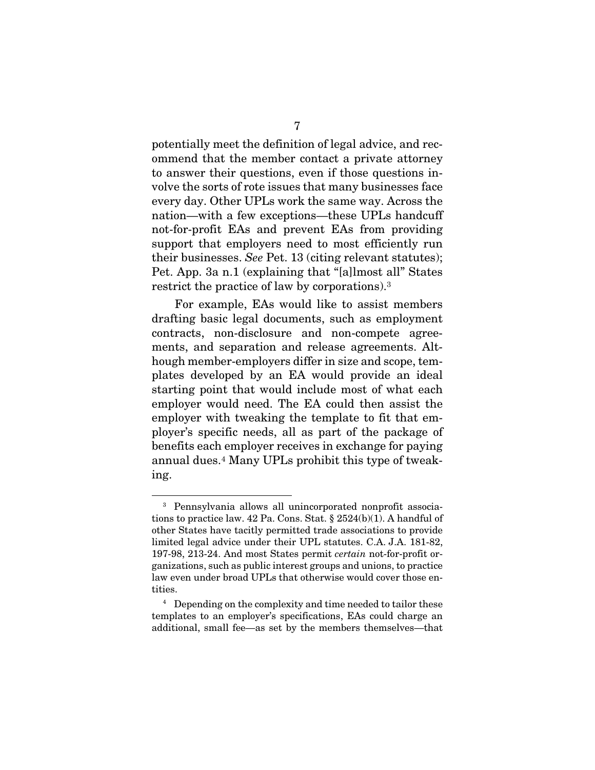potentially meet the definition of legal advice, and recommend that the member contact a private attorney to answer their questions, even if those questions involve the sorts of rote issues that many businesses face every day. Other UPLs work the same way. Across the nation—with a few exceptions—these UPLs handcuff not-for-profit EAs and prevent EAs from providing support that employers need to most efficiently run their businesses. *See* Pet. 13 (citing relevant statutes); Pet. App. 3a n.1 (explaining that "[a]lmost all" States restrict the practice of law by corporations).<sup>3</sup>

For example, EAs would like to assist members drafting basic legal documents, such as employment contracts, non-disclosure and non-compete agreements, and separation and release agreements. Although member-employers differ in size and scope, templates developed by an EA would provide an ideal starting point that would include most of what each employer would need. The EA could then assist the employer with tweaking the template to fit that employer's specific needs, all as part of the package of benefits each employer receives in exchange for paying annual dues.4 Many UPLs prohibit this type of tweaking.

<sup>3</sup> Pennsylvania allows all unincorporated nonprofit associations to practice law. 42 Pa. Cons. Stat. § 2524(b)(1). A handful of other States have tacitly permitted trade associations to provide limited legal advice under their UPL statutes. C.A. J.A. 181-82, 197-98, 213-24. And most States permit *certain* not-for-profit organizations, such as public interest groups and unions, to practice law even under broad UPLs that otherwise would cover those entities.

<sup>4</sup> Depending on the complexity and time needed to tailor these templates to an employer's specifications, EAs could charge an additional, small fee—as set by the members themselves—that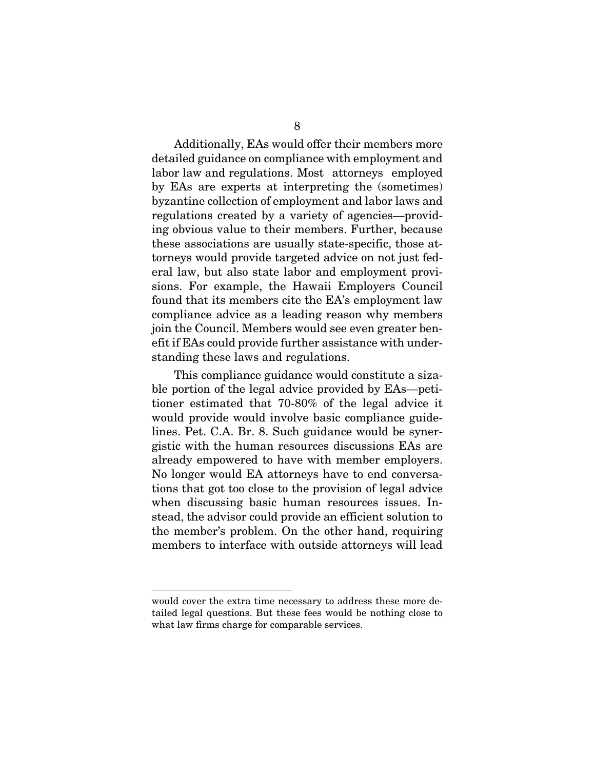Additionally, EAs would offer their members more detailed guidance on compliance with employment and labor law and regulations. Most attorneys employed by EAs are experts at interpreting the (sometimes) byzantine collection of employment and labor laws and regulations created by a variety of agencies—providing obvious value to their members. Further, because these associations are usually state-specific, those attorneys would provide targeted advice on not just federal law, but also state labor and employment provisions. For example, the Hawaii Employers Council found that its members cite the EA's employment law compliance advice as a leading reason why members join the Council. Members would see even greater benefit if EAs could provide further assistance with understanding these laws and regulations.

This compliance guidance would constitute a sizable portion of the legal advice provided by EAs—petitioner estimated that 70-80% of the legal advice it would provide would involve basic compliance guidelines. Pet. C.A. Br. 8. Such guidance would be synergistic with the human resources discussions EAs are already empowered to have with member employers. No longer would EA attorneys have to end conversations that got too close to the provision of legal advice when discussing basic human resources issues. Instead, the advisor could provide an efficient solution to the member's problem. On the other hand, requiring members to interface with outside attorneys will lead

would cover the extra time necessary to address these more detailed legal questions. But these fees would be nothing close to what law firms charge for comparable services.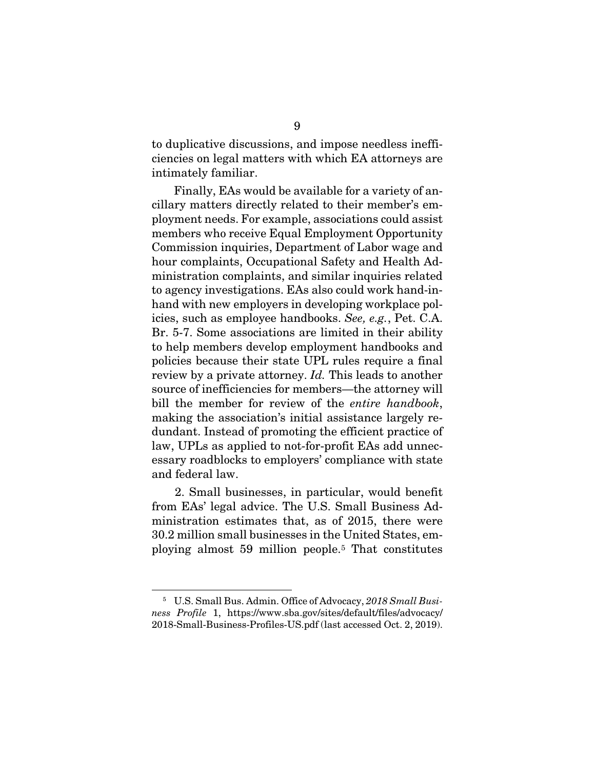to duplicative discussions, and impose needless inefficiencies on legal matters with which EA attorneys are intimately familiar.

Finally, EAs would be available for a variety of ancillary matters directly related to their member's employment needs. For example, associations could assist members who receive Equal Employment Opportunity Commission inquiries, Department of Labor wage and hour complaints, Occupational Safety and Health Administration complaints, and similar inquiries related to agency investigations. EAs also could work hand-inhand with new employers in developing workplace policies, such as employee handbooks. *See, e.g.*, Pet. C.A. Br. 5-7. Some associations are limited in their ability to help members develop employment handbooks and policies because their state UPL rules require a final review by a private attorney. *Id.* This leads to another source of inefficiencies for members—the attorney will bill the member for review of the *entire handbook*, making the association's initial assistance largely redundant. Instead of promoting the efficient practice of law, UPLs as applied to not-for-profit EAs add unnecessary roadblocks to employers' compliance with state and federal law.

2. Small businesses, in particular, would benefit from EAs' legal advice. The U.S. Small Business Administration estimates that, as of 2015, there were 30.2 million small businesses in the United States, employing almost 59 million people.<sup>5</sup> That constitutes

<sup>5</sup> U.S. Small Bus. Admin. Office of Advocacy, *2018 Small Business Profile* 1, https://www.sba.gov/sites/default/files/advocacy/ 2018-Small-Business-Profiles-US.pdf (last accessed Oct. 2, 2019).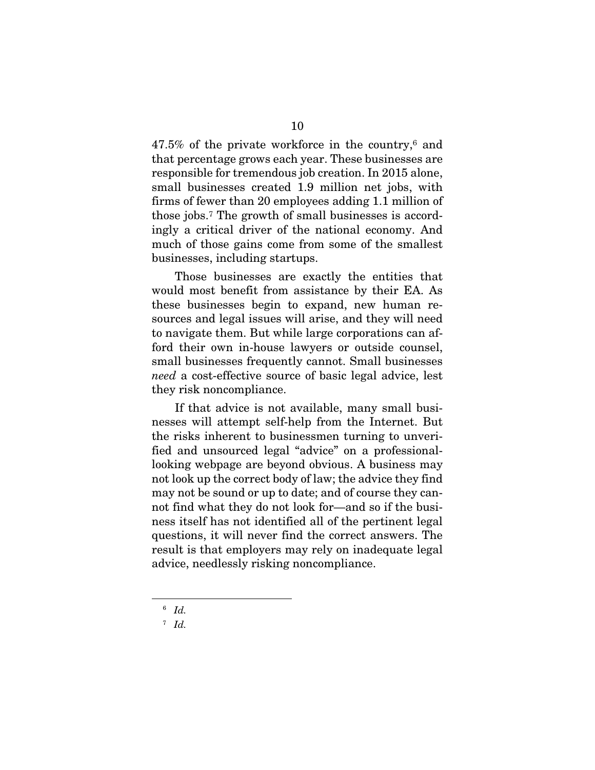$47.5\%$  of the private workforce in the country,<sup>6</sup> and that percentage grows each year. These businesses are responsible for tremendous job creation. In 2015 alone, small businesses created 1.9 million net jobs, with firms of fewer than 20 employees adding 1.1 million of those jobs.7 The growth of small businesses is accordingly a critical driver of the national economy. And much of those gains come from some of the smallest businesses, including startups.

Those businesses are exactly the entities that would most benefit from assistance by their EA. As these businesses begin to expand, new human resources and legal issues will arise, and they will need to navigate them. But while large corporations can afford their own in-house lawyers or outside counsel, small businesses frequently cannot. Small businesses *need* a cost-effective source of basic legal advice, lest they risk noncompliance.

If that advice is not available, many small businesses will attempt self-help from the Internet. But the risks inherent to businessmen turning to unverified and unsourced legal "advice" on a professionallooking webpage are beyond obvious. A business may not look up the correct body of law; the advice they find may not be sound or up to date; and of course they cannot find what they do not look for—and so if the business itself has not identified all of the pertinent legal questions, it will never find the correct answers. The result is that employers may rely on inadequate legal advice, needlessly risking noncompliance.

<sup>6</sup> *Id.*

<sup>7</sup> *Id.*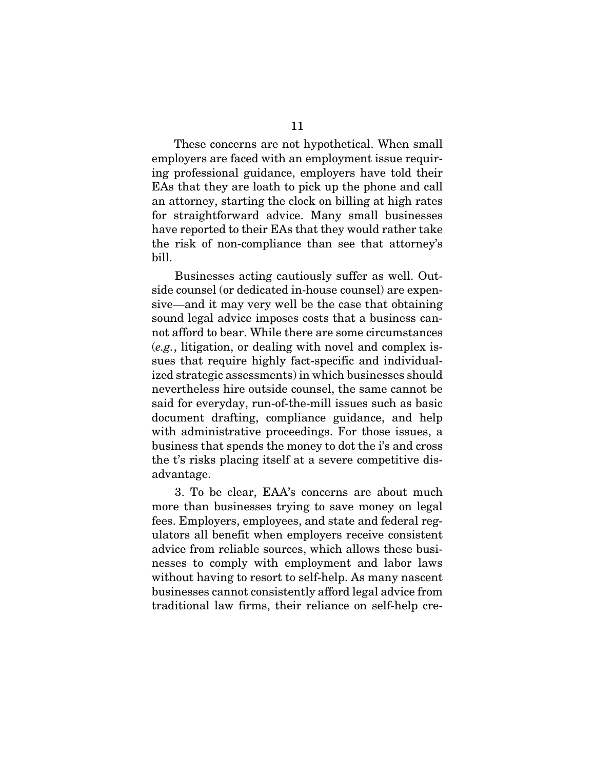These concerns are not hypothetical. When small employers are faced with an employment issue requiring professional guidance, employers have told their EAs that they are loath to pick up the phone and call an attorney, starting the clock on billing at high rates for straightforward advice. Many small businesses have reported to their EAs that they would rather take the risk of non-compliance than see that attorney's bill.

Businesses acting cautiously suffer as well. Outside counsel (or dedicated in-house counsel) are expensive—and it may very well be the case that obtaining sound legal advice imposes costs that a business cannot afford to bear. While there are some circumstances (*e.g.*, litigation, or dealing with novel and complex issues that require highly fact-specific and individualized strategic assessments) in which businesses should nevertheless hire outside counsel, the same cannot be said for everyday, run-of-the-mill issues such as basic document drafting, compliance guidance, and help with administrative proceedings. For those issues, a business that spends the money to dot the i's and cross the t's risks placing itself at a severe competitive disadvantage.

3. To be clear, EAA's concerns are about much more than businesses trying to save money on legal fees. Employers, employees, and state and federal regulators all benefit when employers receive consistent advice from reliable sources, which allows these businesses to comply with employment and labor laws without having to resort to self-help. As many nascent businesses cannot consistently afford legal advice from traditional law firms, their reliance on self-help cre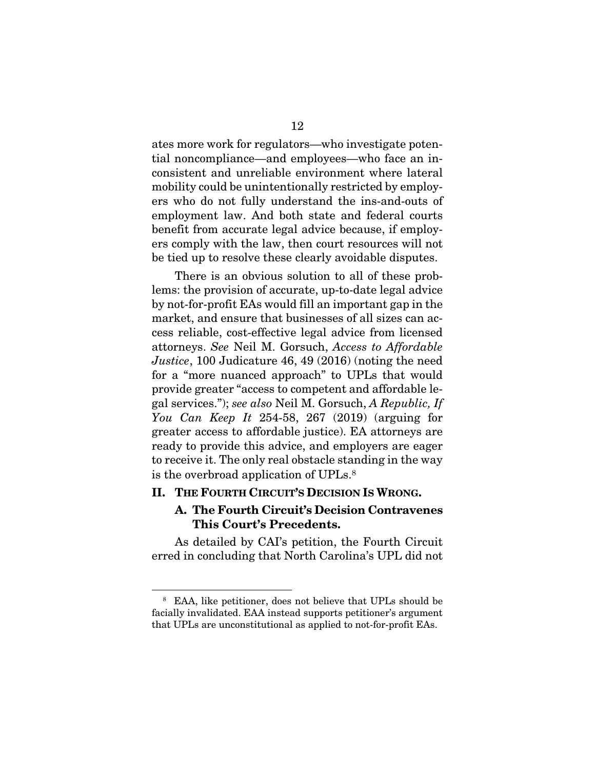ates more work for regulators—who investigate potential noncompliance—and employees—who face an inconsistent and unreliable environment where lateral mobility could be unintentionally restricted by employers who do not fully understand the ins-and-outs of employment law. And both state and federal courts benefit from accurate legal advice because, if employers comply with the law, then court resources will not be tied up to resolve these clearly avoidable disputes.

There is an obvious solution to all of these problems: the provision of accurate, up-to-date legal advice by not-for-profit EAs would fill an important gap in the market, and ensure that businesses of all sizes can access reliable, cost-effective legal advice from licensed attorneys. *See* Neil M. Gorsuch, *Access to Affordable Justice*, 100 Judicature 46, 49 (2016) (noting the need for a "more nuanced approach" to UPLs that would provide greater "access to competent and affordable legal services."); *see also* Neil M. Gorsuch, *A Republic, If You Can Keep It* 254-58, 267 (2019) (arguing for greater access to affordable justice). EA attorneys are ready to provide this advice, and employers are eager to receive it. The only real obstacle standing in the way is the overbroad application of UPLs.<sup>8</sup>

#### II. THE FOURTH CIRCUIT'S DECISION IS WRONG.

### A. The Fourth Circuit's Decision Contravenes This Court's Precedents.

As detailed by CAI's petition, the Fourth Circuit erred in concluding that North Carolina's UPL did not

<sup>8</sup> EAA, like petitioner, does not believe that UPLs should be facially invalidated. EAA instead supports petitioner's argument that UPLs are unconstitutional as applied to not-for-profit EAs.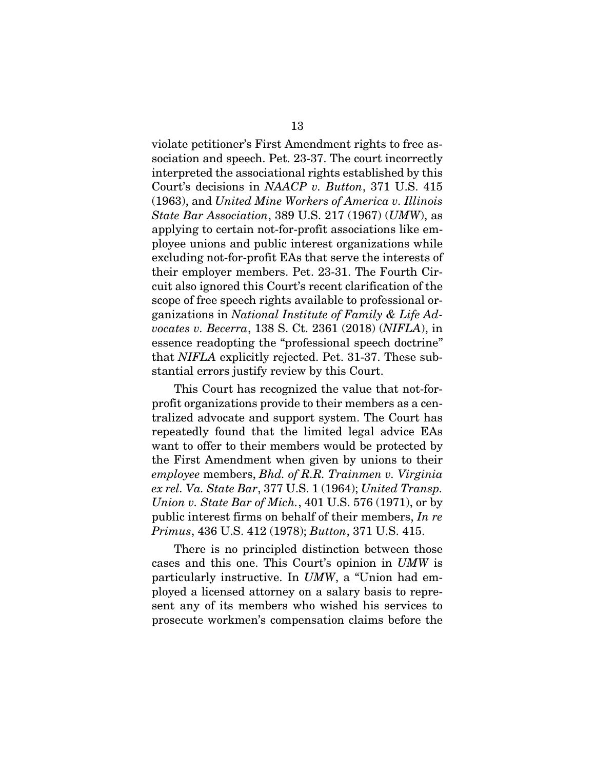violate petitioner's First Amendment rights to free association and speech. Pet. 23-37. The court incorrectly interpreted the associational rights established by this Court's decisions in *NAACP v. Button*, 371 U.S. 415 (1963), and *United Mine Workers of America v. Illinois State Bar Association*, 389 U.S. 217 (1967) (*UMW*), as applying to certain not-for-profit associations like employee unions and public interest organizations while excluding not-for-profit EAs that serve the interests of their employer members. Pet. 23-31. The Fourth Circuit also ignored this Court's recent clarification of the scope of free speech rights available to professional organizations in *National Institute of Family & Life Advocates v. Becerra*, 138 S. Ct. 2361 (2018) (*NIFLA*), in essence readopting the "professional speech doctrine" that *NIFLA* explicitly rejected. Pet. 31-37. These substantial errors justify review by this Court.

This Court has recognized the value that not-forprofit organizations provide to their members as a centralized advocate and support system. The Court has repeatedly found that the limited legal advice EAs want to offer to their members would be protected by the First Amendment when given by unions to their *employee* members, *Bhd. of R.R. Trainmen v. Virginia ex rel. Va. State Bar*, 377 U.S. 1 (1964); *United Transp. Union v. State Bar of Mich.*, 401 U.S. 576 (1971), or by public interest firms on behalf of their members, *In re Primus*, 436 U.S. 412 (1978); *Button*, 371 U.S. 415.

There is no principled distinction between those cases and this one. This Court's opinion in *UMW* is particularly instructive. In *UMW*, a "Union had employed a licensed attorney on a salary basis to represent any of its members who wished his services to prosecute workmen's compensation claims before the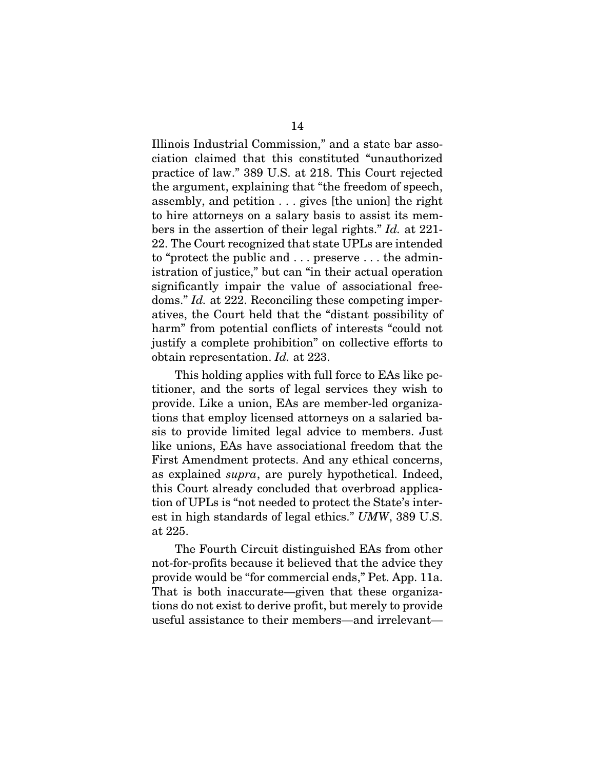Illinois Industrial Commission," and a state bar association claimed that this constituted "unauthorized practice of law." 389 U.S. at 218. This Court rejected the argument, explaining that "the freedom of speech, assembly, and petition . . . gives [the union] the right to hire attorneys on a salary basis to assist its members in the assertion of their legal rights." *Id.* at 221- 22. The Court recognized that state UPLs are intended to "protect the public and . . . preserve . . . the administration of justice," but can "in their actual operation significantly impair the value of associational freedoms." *Id.* at 222. Reconciling these competing imperatives, the Court held that the "distant possibility of harm" from potential conflicts of interests "could not justify a complete prohibition" on collective efforts to obtain representation. *Id.* at 223.

This holding applies with full force to EAs like petitioner, and the sorts of legal services they wish to provide. Like a union, EAs are member-led organizations that employ licensed attorneys on a salaried basis to provide limited legal advice to members. Just like unions, EAs have associational freedom that the First Amendment protects. And any ethical concerns, as explained *supra*, are purely hypothetical. Indeed, this Court already concluded that overbroad application of UPLs is "not needed to protect the State's interest in high standards of legal ethics." *UMW*, 389 U.S. at 225.

The Fourth Circuit distinguished EAs from other not-for-profits because it believed that the advice they provide would be "for commercial ends," Pet. App. 11a. That is both inaccurate—given that these organizations do not exist to derive profit, but merely to provide useful assistance to their members—and irrelevant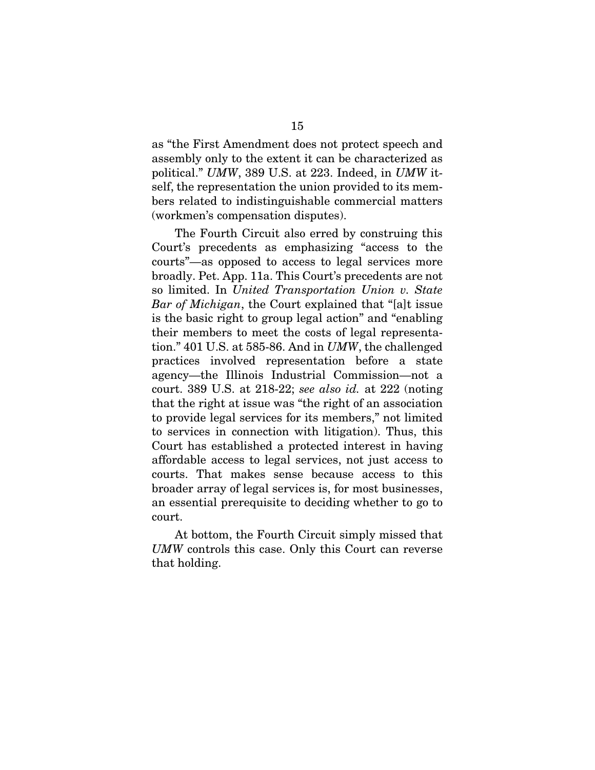as "the First Amendment does not protect speech and assembly only to the extent it can be characterized as political." *UMW*, 389 U.S. at 223. Indeed, in *UMW* itself, the representation the union provided to its members related to indistinguishable commercial matters (workmen's compensation disputes).

The Fourth Circuit also erred by construing this Court's precedents as emphasizing "access to the courts"—as opposed to access to legal services more broadly. Pet. App. 11a. This Court's precedents are not so limited. In *United Transportation Union v. State Bar of Michigan*, the Court explained that "[a]t issue is the basic right to group legal action" and "enabling their members to meet the costs of legal representation." 401 U.S. at 585-86. And in *UMW*, the challenged practices involved representation before a state agency—the Illinois Industrial Commission—not a court. 389 U.S. at 218-22; *see also id.* at 222 (noting that the right at issue was "the right of an association to provide legal services for its members," not limited to services in connection with litigation). Thus, this Court has established a protected interest in having affordable access to legal services, not just access to courts. That makes sense because access to this broader array of legal services is, for most businesses, an essential prerequisite to deciding whether to go to court.

At bottom, the Fourth Circuit simply missed that *UMW* controls this case. Only this Court can reverse that holding.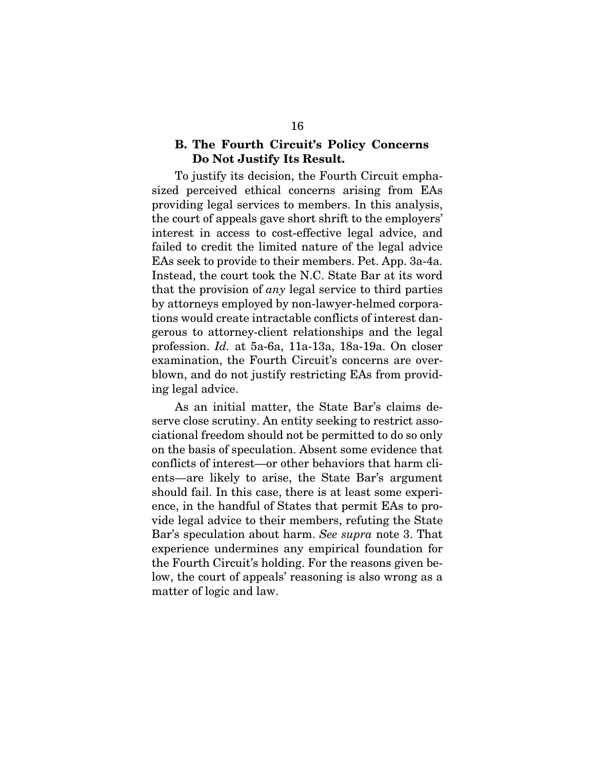### B. The Fourth Circuit's Policy Concerns Do Not Justify Its Result.

To justify its decision, the Fourth Circuit emphasized perceived ethical concerns arising from EAs providing legal services to members. In this analysis, the court of appeals gave short shrift to the employers' interest in access to cost-effective legal advice, and failed to credit the limited nature of the legal advice EAs seek to provide to their members. Pet. App. 3a-4a. Instead, the court took the N.C. State Bar at its word that the provision of *any* legal service to third parties by attorneys employed by non-lawyer-helmed corporations would create intractable conflicts of interest dangerous to attorney-client relationships and the legal profession. *Id.* at 5a-6a, 11a-13a, 18a-19a. On closer examination, the Fourth Circuit's concerns are overblown, and do not justify restricting EAs from providing legal advice.

As an initial matter, the State Bar's claims deserve close scrutiny. An entity seeking to restrict associational freedom should not be permitted to do so only on the basis of speculation. Absent some evidence that conflicts of interest—or other behaviors that harm clients—are likely to arise, the State Bar's argument should fail. In this case, there is at least some experience, in the handful of States that permit EAs to provide legal advice to their members, refuting the State Bar's speculation about harm. *See supra* note 3. That experience undermines any empirical foundation for the Fourth Circuit's holding. For the reasons given below, the court of appeals' reasoning is also wrong as a matter of logic and law.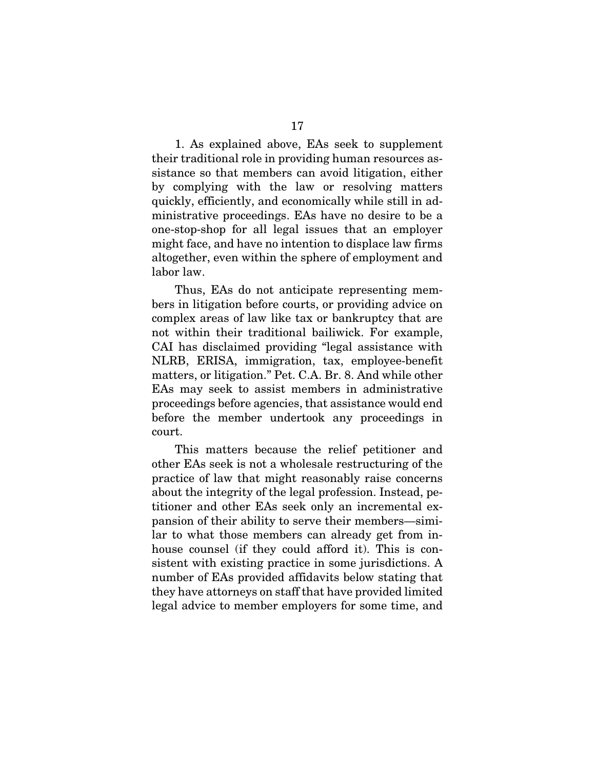1. As explained above, EAs seek to supplement their traditional role in providing human resources assistance so that members can avoid litigation, either by complying with the law or resolving matters quickly, efficiently, and economically while still in administrative proceedings. EAs have no desire to be a one-stop-shop for all legal issues that an employer might face, and have no intention to displace law firms altogether, even within the sphere of employment and labor law.

Thus, EAs do not anticipate representing members in litigation before courts, or providing advice on complex areas of law like tax or bankruptcy that are not within their traditional bailiwick. For example, CAI has disclaimed providing "legal assistance with NLRB, ERISA, immigration, tax, employee-benefit matters, or litigation." Pet. C.A. Br. 8. And while other EAs may seek to assist members in administrative proceedings before agencies, that assistance would end before the member undertook any proceedings in court.

This matters because the relief petitioner and other EAs seek is not a wholesale restructuring of the practice of law that might reasonably raise concerns about the integrity of the legal profession. Instead, petitioner and other EAs seek only an incremental expansion of their ability to serve their members—similar to what those members can already get from inhouse counsel (if they could afford it). This is consistent with existing practice in some jurisdictions. A number of EAs provided affidavits below stating that they have attorneys on staff that have provided limited legal advice to member employers for some time, and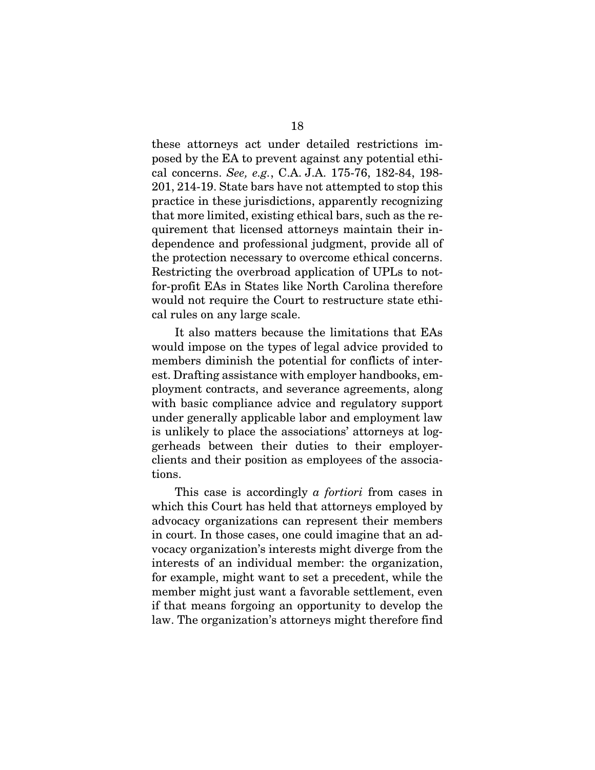these attorneys act under detailed restrictions imposed by the EA to prevent against any potential ethical concerns. *See, e.g.*, C.A. J.A. 175-76, 182-84, 198- 201, 214-19. State bars have not attempted to stop this practice in these jurisdictions, apparently recognizing that more limited, existing ethical bars, such as the requirement that licensed attorneys maintain their independence and professional judgment, provide all of the protection necessary to overcome ethical concerns. Restricting the overbroad application of UPLs to notfor-profit EAs in States like North Carolina therefore would not require the Court to restructure state ethical rules on any large scale.

It also matters because the limitations that EAs would impose on the types of legal advice provided to members diminish the potential for conflicts of interest. Drafting assistance with employer handbooks, employment contracts, and severance agreements, along with basic compliance advice and regulatory support under generally applicable labor and employment law is unlikely to place the associations' attorneys at loggerheads between their duties to their employerclients and their position as employees of the associations.

This case is accordingly *a fortiori* from cases in which this Court has held that attorneys employed by advocacy organizations can represent their members in court. In those cases, one could imagine that an advocacy organization's interests might diverge from the interests of an individual member: the organization, for example, might want to set a precedent, while the member might just want a favorable settlement, even if that means forgoing an opportunity to develop the law. The organization's attorneys might therefore find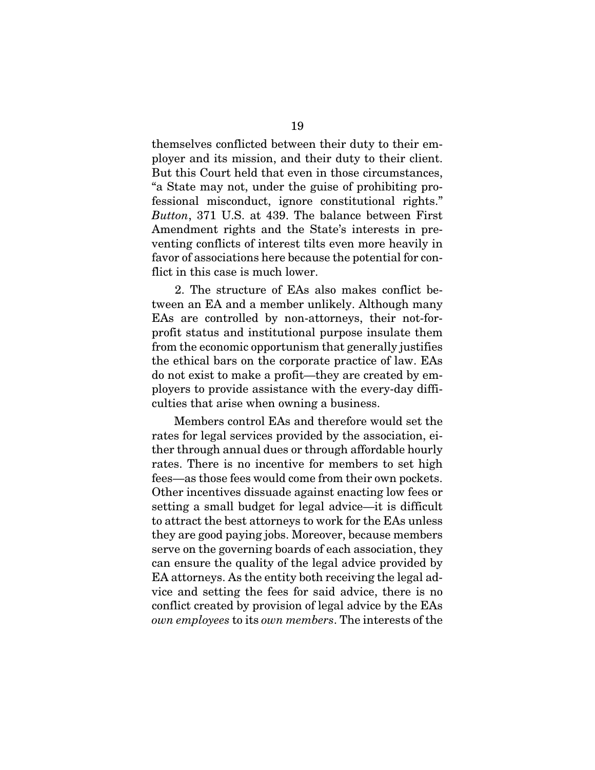themselves conflicted between their duty to their employer and its mission, and their duty to their client. But this Court held that even in those circumstances, "a State may not, under the guise of prohibiting professional misconduct, ignore constitutional rights." *Button*, 371 U.S. at 439. The balance between First Amendment rights and the State's interests in preventing conflicts of interest tilts even more heavily in favor of associations here because the potential for conflict in this case is much lower.

2. The structure of EAs also makes conflict between an EA and a member unlikely. Although many EAs are controlled by non-attorneys, their not-forprofit status and institutional purpose insulate them from the economic opportunism that generally justifies the ethical bars on the corporate practice of law. EAs do not exist to make a profit—they are created by employers to provide assistance with the every-day difficulties that arise when owning a business.

Members control EAs and therefore would set the rates for legal services provided by the association, either through annual dues or through affordable hourly rates. There is no incentive for members to set high fees—as those fees would come from their own pockets. Other incentives dissuade against enacting low fees or setting a small budget for legal advice—it is difficult to attract the best attorneys to work for the EAs unless they are good paying jobs. Moreover, because members serve on the governing boards of each association, they can ensure the quality of the legal advice provided by EA attorneys. As the entity both receiving the legal advice and setting the fees for said advice, there is no conflict created by provision of legal advice by the EAs *own employees* to its *own members*. The interests of the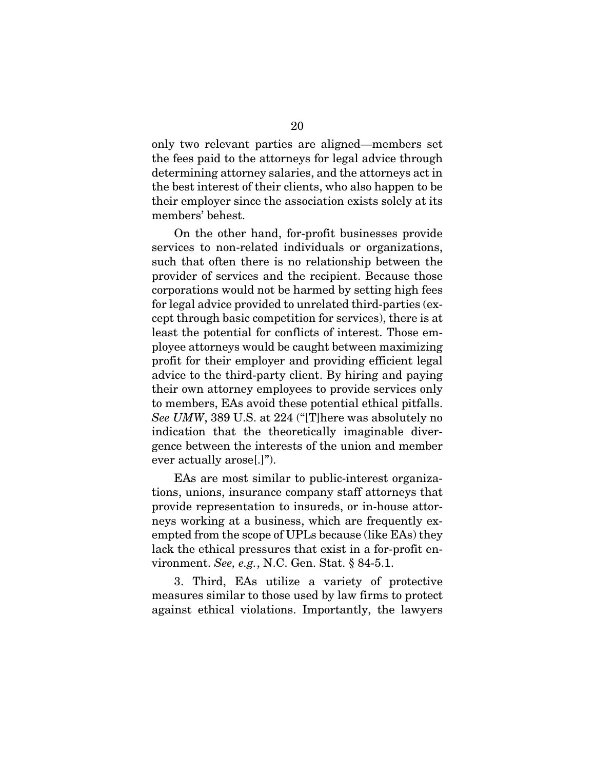only two relevant parties are aligned—members set the fees paid to the attorneys for legal advice through determining attorney salaries, and the attorneys act in the best interest of their clients, who also happen to be their employer since the association exists solely at its members' behest.

On the other hand, for-profit businesses provide services to non-related individuals or organizations, such that often there is no relationship between the provider of services and the recipient. Because those corporations would not be harmed by setting high fees for legal advice provided to unrelated third-parties (except through basic competition for services), there is at least the potential for conflicts of interest. Those employee attorneys would be caught between maximizing profit for their employer and providing efficient legal advice to the third-party client. By hiring and paying their own attorney employees to provide services only to members, EAs avoid these potential ethical pitfalls. *See UMW*, 389 U.S. at 224 ("[T]here was absolutely no indication that the theoretically imaginable divergence between the interests of the union and member ever actually arose[.]").

EAs are most similar to public-interest organizations, unions, insurance company staff attorneys that provide representation to insureds, or in-house attorneys working at a business, which are frequently exempted from the scope of UPLs because (like EAs) they lack the ethical pressures that exist in a for-profit environment. *See, e.g.*, N.C. Gen. Stat. § 84-5.1.

3. Third, EAs utilize a variety of protective measures similar to those used by law firms to protect against ethical violations. Importantly, the lawyers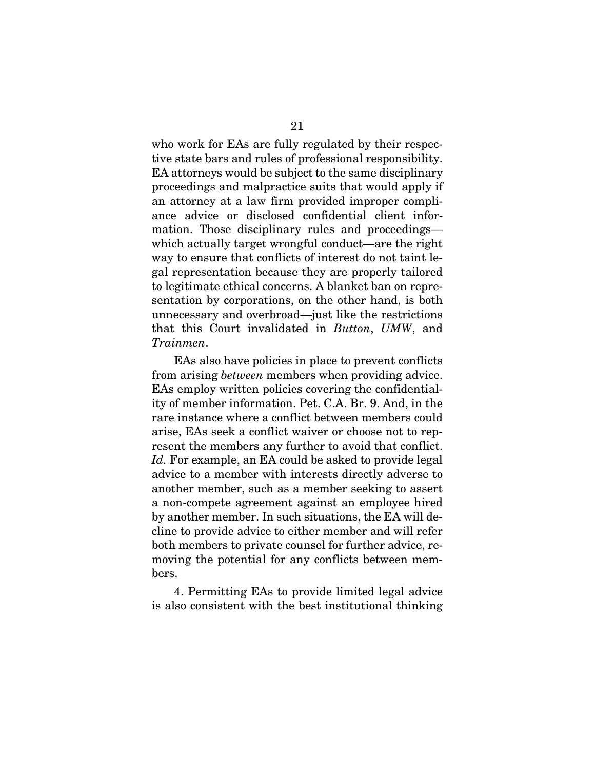who work for EAs are fully regulated by their respective state bars and rules of professional responsibility. EA attorneys would be subject to the same disciplinary proceedings and malpractice suits that would apply if an attorney at a law firm provided improper compliance advice or disclosed confidential client information. Those disciplinary rules and proceedings which actually target wrongful conduct—are the right way to ensure that conflicts of interest do not taint legal representation because they are properly tailored to legitimate ethical concerns. A blanket ban on representation by corporations, on the other hand, is both unnecessary and overbroad—just like the restrictions that this Court invalidated in *Button*, *UMW*, and *Trainmen*.

EAs also have policies in place to prevent conflicts from arising *between* members when providing advice. EAs employ written policies covering the confidentiality of member information. Pet. C.A. Br. 9. And, in the rare instance where a conflict between members could arise, EAs seek a conflict waiver or choose not to represent the members any further to avoid that conflict. *Id.* For example, an EA could be asked to provide legal advice to a member with interests directly adverse to another member, such as a member seeking to assert a non-compete agreement against an employee hired by another member. In such situations, the EA will decline to provide advice to either member and will refer both members to private counsel for further advice, removing the potential for any conflicts between members.

4. Permitting EAs to provide limited legal advice is also consistent with the best institutional thinking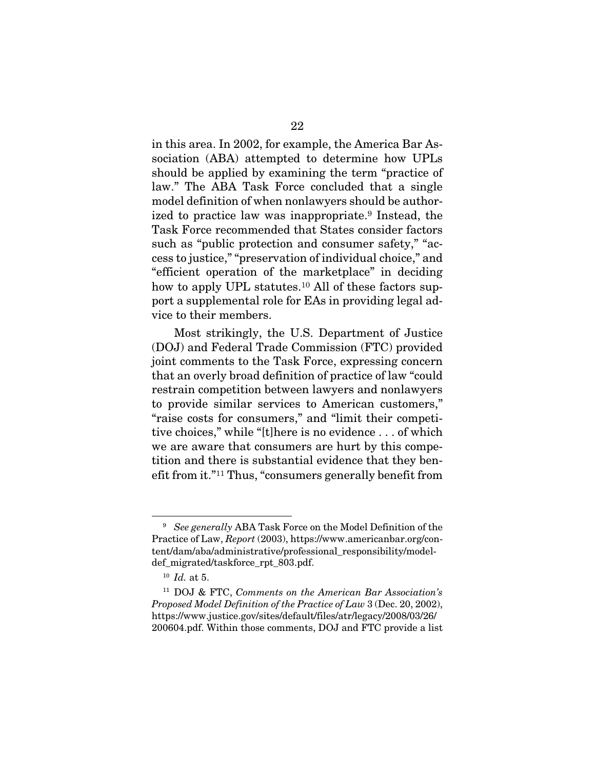in this area. In 2002, for example, the America Bar Association (ABA) attempted to determine how UPLs should be applied by examining the term "practice of law." The ABA Task Force concluded that a single model definition of when nonlawyers should be authorized to practice law was inappropriate.<sup>9</sup> Instead, the Task Force recommended that States consider factors such as "public protection and consumer safety," "access to justice," "preservation of individual choice," and "efficient operation of the marketplace" in deciding how to apply UPL statutes.<sup>10</sup> All of these factors support a supplemental role for EAs in providing legal advice to their members.

Most strikingly, the U.S. Department of Justice (DOJ) and Federal Trade Commission (FTC) provided joint comments to the Task Force, expressing concern that an overly broad definition of practice of law "could restrain competition between lawyers and nonlawyers to provide similar services to American customers," "raise costs for consumers," and "limit their competitive choices," while "[t]here is no evidence . . . of which we are aware that consumers are hurt by this competition and there is substantial evidence that they benefit from it."<sup>11</sup> Thus, "consumers generally benefit from

<sup>9</sup> *See generally* ABA Task Force on the Model Definition of the Practice of Law, *Report* (2003), https://www.americanbar.org/content/dam/aba/administrative/professional\_responsibility/modeldef\_migrated/taskforce\_rpt\_803.pdf.

<sup>10</sup> *Id.* at 5.

<sup>11</sup> DOJ & FTC, *Comments on the American Bar Association's Proposed Model Definition of the Practice of Law* 3 (Dec. 20, 2002), https://www.justice.gov/sites/default/files/atr/legacy/2008/03/26/ 200604.pdf. Within those comments, DOJ and FTC provide a list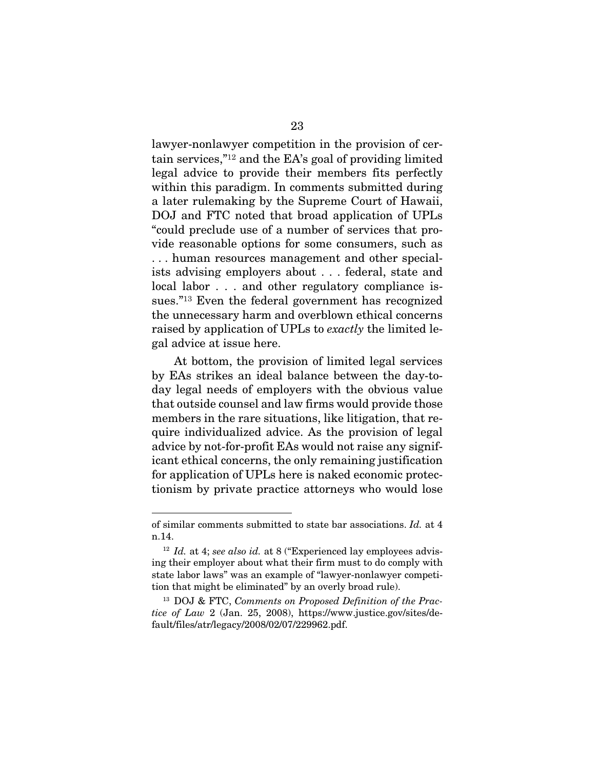lawyer-nonlawyer competition in the provision of certain services,"<sup>12</sup> and the EA's goal of providing limited legal advice to provide their members fits perfectly within this paradigm. In comments submitted during a later rulemaking by the Supreme Court of Hawaii, DOJ and FTC noted that broad application of UPLs "could preclude use of a number of services that provide reasonable options for some consumers, such as . . . human resources management and other specialists advising employers about . . . federal, state and local labor . . . and other regulatory compliance issues."<sup>13</sup> Even the federal government has recognized the unnecessary harm and overblown ethical concerns raised by application of UPLs to *exactly* the limited legal advice at issue here.

At bottom, the provision of limited legal services by EAs strikes an ideal balance between the day-today legal needs of employers with the obvious value that outside counsel and law firms would provide those members in the rare situations, like litigation, that require individualized advice. As the provision of legal advice by not-for-profit EAs would not raise any significant ethical concerns, the only remaining justification for application of UPLs here is naked economic protectionism by private practice attorneys who would lose

of similar comments submitted to state bar associations. *Id.* at 4 n.14.

<sup>&</sup>lt;sup>12</sup> *Id.* at 4; *see also id.* at 8 ("Experienced lay employees advising their employer about what their firm must to do comply with state labor laws" was an example of "lawyer-nonlawyer competition that might be eliminated" by an overly broad rule).

<sup>13</sup> DOJ & FTC, *Comments on Proposed Definition of the Practice of Law* 2 (Jan. 25, 2008), https://www.justice.gov/sites/default/files/atr/legacy/2008/02/07/229962.pdf.